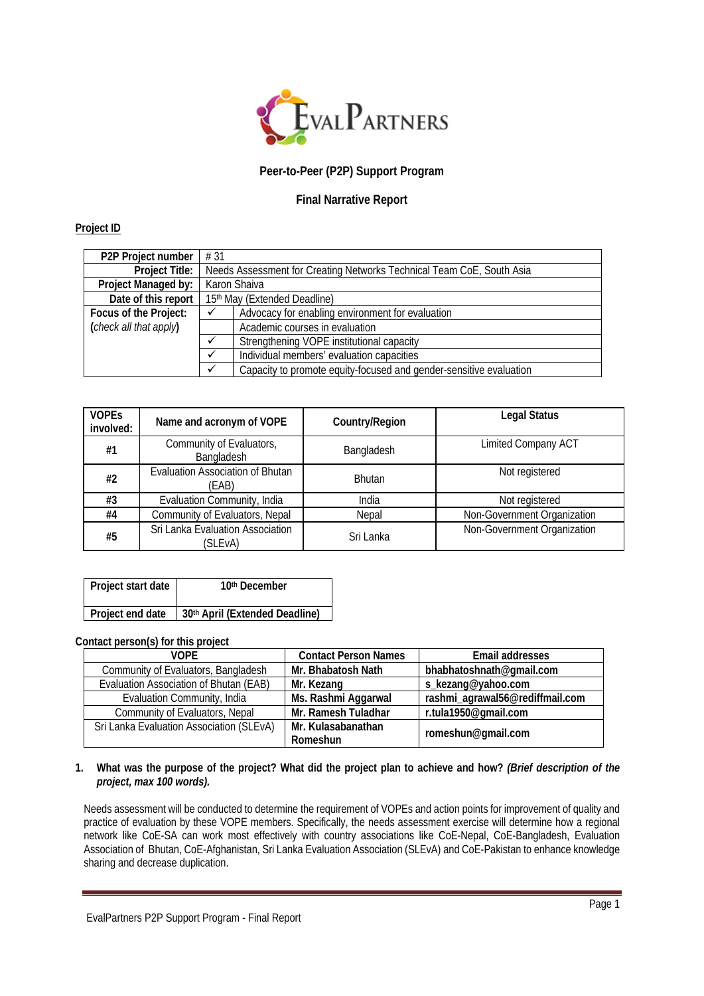

## **Peer-to-Peer (P2P) Support Program**

# **Final Narrative Report**

## **Project ID**

| P2P Project number     | #31                                                                   |                                                  |  |  |
|------------------------|-----------------------------------------------------------------------|--------------------------------------------------|--|--|
| <b>Project Title:</b>  | Needs Assessment for Creating Networks Technical Team CoE, South Asia |                                                  |  |  |
| Project Managed by:    | Karon Shaiva                                                          |                                                  |  |  |
| Date of this report    | 15th May (Extended Deadline)                                          |                                                  |  |  |
| Focus of the Project:  |                                                                       | Advocacy for enabling environment for evaluation |  |  |
| (check all that apply) | Academic courses in evaluation                                        |                                                  |  |  |
|                        | Strengthening VOPE institutional capacity                             |                                                  |  |  |
|                        | Individual members' evaluation capacities                             |                                                  |  |  |
|                        | Capacity to promote equity-focused and gender-sensitive evaluation    |                                                  |  |  |

| <b>VOPES</b><br>involved: | Name and acronym of VOPE                         | Country/Region | <b>Legal Status</b>         |
|---------------------------|--------------------------------------------------|----------------|-----------------------------|
| #1                        | Community of Evaluators,<br>Bangladesh           | Bangladesh     | <b>Limited Company ACT</b>  |
| #2                        | <b>Evaluation Association of Bhutan</b><br>(EAB) | <b>Bhutan</b>  | Not registered              |
| #3                        | Evaluation Community, India                      | India          | Not registered              |
| #4                        | Community of Evaluators, Nepal                   | Nepal          | Non-Government Organization |
| #5                        | Sri Lanka Evaluation Association<br>(SLEvA)      | Sri Lanka      | Non-Government Organization |

| Project start date | 10 <sup>th</sup> December                         |
|--------------------|---------------------------------------------------|
|                    | Project end date   30th April (Extended Deadline) |

#### **Contact person(s) for this project**

| VOPF                                     | <b>Contact Person Names</b> | Email addresses                 |  |
|------------------------------------------|-----------------------------|---------------------------------|--|
| Community of Evaluators, Bangladesh      | Mr. Bhabatosh Nath          | bhabhatoshnath@gmail.com        |  |
| Evaluation Association of Bhutan (EAB)   | Mr. Kezang                  | s_kezang@yahoo.com              |  |
| Evaluation Community, India              | Ms. Rashmi Aggarwal         | rashmi_agrawal56@rediffmail.com |  |
| Community of Evaluators, Nepal           | Mr. Ramesh Tuladhar         | r.tula1950@gmail.com            |  |
| Sri Lanka Evaluation Association (SLEvA) | Mr. Kulasabanathan          | romeshun@gmail.com              |  |
|                                          | Romeshun                    |                                 |  |

#### **1. What was the purpose of the project? What did the project plan to achieve and how?** *(Brief description of the project, max 100 words).*

Needs assessment will be conducted to determine the requirement of VOPEs and action points for improvement of quality and practice of evaluation by these VOPE members. Specifically, the needs assessment exercise will determine how a regional network like CoE-SA can work most effectively with country associations like CoE-Nepal, CoE-Bangladesh, Evaluation Association of Bhutan, CoE-Afghanistan, Sri Lanka Evaluation Association (SLEvA) and CoE-Pakistan to enhance knowledge sharing and decrease duplication.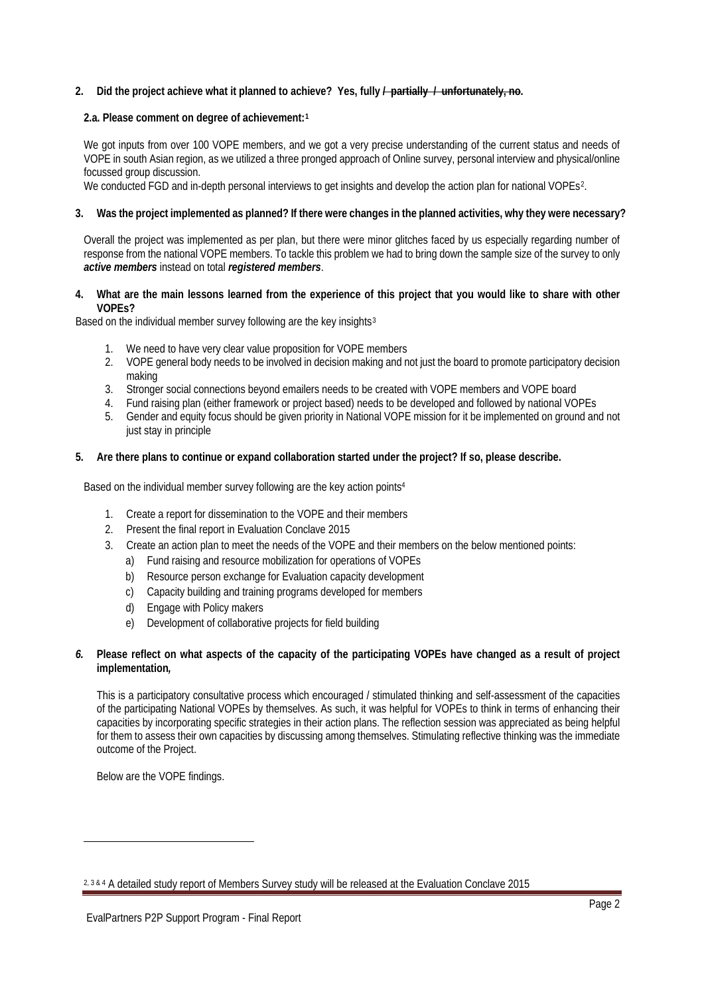### **2. Did the project achieve what it planned to achieve? Yes, fully / partially / unfortunately, no.**

#### **2.a. Please comment on degree of achievement:[1](#page-1-0)**

We got inputs from over 100 VOPE members, and we got a very precise understanding of the current status and needs of VOPE in south Asian region, as we utilized a three pronged approach of Online survey, personal interview and physical/online focussed group discussion.

We conducted FGD and in-depth personal interviews to get insights and develop the action plan for national VOPEs<sup>[2](#page-1-1)</sup>.

#### **3. Was the project implemented as planned? If there were changes in the planned activities, why they were necessary?**

Overall the project was implemented as per plan, but there were minor glitches faced by us especially regarding number of response from the national VOPE members. To tackle this problem we had to bring down the sample size of the survey to only *active members* instead on total *registered members*.

#### **4. What are the main lessons learned from the experience of this project that you would like to share with other VOPEs?**

Based on the individual member survey following are the key insights<sup>[3](#page-1-2)</sup>

- 1. We need to have very clear value proposition for VOPE members
- 2. VOPE general body needs to be involved in decision making and not just the board to promote participatory decision making
- 3. Stronger social connections beyond emailers needs to be created with VOPE members and VOPE board
- 4. Fund raising plan (either framework or project based) needs to be developed and followed by national VOPEs
- 5. Gender and equity focus should be given priority in National VOPE mission for it be implemented on ground and not just stay in principle

#### **5. Are there plans to continue or expand collaboration started under the project? If so, please describe.**

Based on the individual member survey following are the key action points4

- 1. Create a report for dissemination to the VOPE and their members
- 2. Present the final report in Evaluation Conclave 2015
- 3. Create an action plan to meet the needs of the VOPE and their members on the below mentioned points:
	- a) Fund raising and resource mobilization for operations of VOPEs
	- b) Resource person exchange for Evaluation capacity development
	- c) Capacity building and training programs developed for members
	- d) Engage with Policy makers
	- e) Development of collaborative projects for field building

### *6.* **Please reflect on what aspects of the capacity of the participating VOPEs have changed as a result of project implementation***,*

This is a participatory consultative process which encouraged / stimulated thinking and self-assessment of the capacities of the participating National VOPEs by themselves. As such, it was helpful for VOPEs to think in terms of enhancing their capacities by incorporating specific strategies in their action plans. The reflection session was appreciated as being helpful for them to assess their own capacities by discussing among themselves. Stimulating reflective thinking was the immediate outcome of the Project.

Below are the VOPE findings.

<span id="page-1-0"></span>**.** 

<span id="page-1-2"></span><span id="page-1-1"></span><sup>2, 3 &</sup>amp; 4 A detailed study report of Members Survey study will be released at the Evaluation Conclave 2015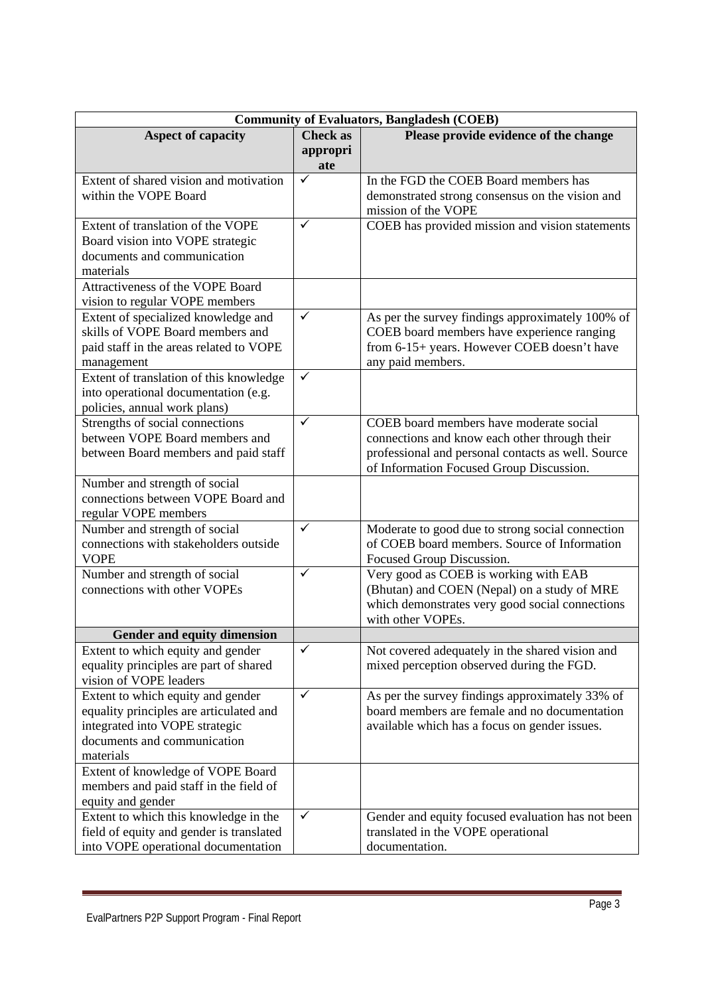| <b>Community of Evaluators, Bangladesh (COEB)</b>                   |                 |                                                    |  |
|---------------------------------------------------------------------|-----------------|----------------------------------------------------|--|
| <b>Aspect of capacity</b>                                           | <b>Check as</b> | Please provide evidence of the change              |  |
|                                                                     | appropri<br>ate |                                                    |  |
| Extent of shared vision and motivation                              | ✓               | In the FGD the COEB Board members has              |  |
| within the VOPE Board                                               |                 | demonstrated strong consensus on the vision and    |  |
|                                                                     |                 | mission of the VOPE                                |  |
| Extent of translation of the VOPE                                   | $\checkmark$    | COEB has provided mission and vision statements    |  |
| Board vision into VOPE strategic                                    |                 |                                                    |  |
| documents and communication                                         |                 |                                                    |  |
| materials                                                           |                 |                                                    |  |
| Attractiveness of the VOPE Board                                    |                 |                                                    |  |
| vision to regular VOPE members                                      |                 |                                                    |  |
| Extent of specialized knowledge and                                 | ✓               | As per the survey findings approximately 100% of   |  |
| skills of VOPE Board members and                                    |                 | COEB board members have experience ranging         |  |
| paid staff in the areas related to VOPE                             |                 | from 6-15+ years. However COEB doesn't have        |  |
| management                                                          |                 | any paid members.                                  |  |
| Extent of translation of this knowledge                             | $\checkmark$    |                                                    |  |
| into operational documentation (e.g.                                |                 |                                                    |  |
| policies, annual work plans)                                        |                 |                                                    |  |
| Strengths of social connections                                     | $\checkmark$    | COEB board members have moderate social            |  |
| between VOPE Board members and                                      |                 | connections and know each other through their      |  |
| between Board members and paid staff                                |                 | professional and personal contacts as well. Source |  |
|                                                                     |                 | of Information Focused Group Discussion.           |  |
| Number and strength of social<br>connections between VOPE Board and |                 |                                                    |  |
| regular VOPE members                                                |                 |                                                    |  |
| Number and strength of social                                       | $\checkmark$    | Moderate to good due to strong social connection   |  |
| connections with stakeholders outside                               |                 | of COEB board members. Source of Information       |  |
| <b>VOPE</b>                                                         |                 | Focused Group Discussion.                          |  |
| Number and strength of social                                       | $\checkmark$    | Very good as COEB is working with EAB              |  |
| connections with other VOPEs                                        |                 | (Bhutan) and COEN (Nepal) on a study of MRE        |  |
|                                                                     |                 | which demonstrates very good social connections    |  |
|                                                                     |                 | with other VOPEs.                                  |  |
| <b>Gender and equity dimension</b>                                  |                 |                                                    |  |
| Extent to which equity and gender                                   | $\checkmark$    | Not covered adequately in the shared vision and    |  |
| equality principles are part of shared                              |                 | mixed perception observed during the FGD.          |  |
| vision of VOPE leaders                                              |                 |                                                    |  |
| Extent to which equity and gender                                   | $\checkmark$    | As per the survey findings approximately 33% of    |  |
| equality principles are articulated and                             |                 | board members are female and no documentation      |  |
| integrated into VOPE strategic                                      |                 | available which has a focus on gender issues.      |  |
| documents and communication                                         |                 |                                                    |  |
| materials                                                           |                 |                                                    |  |
| Extent of knowledge of VOPE Board                                   |                 |                                                    |  |
| members and paid staff in the field of                              |                 |                                                    |  |
| equity and gender                                                   |                 |                                                    |  |
| Extent to which this knowledge in the                               | $\checkmark$    | Gender and equity focused evaluation has not been  |  |
| field of equity and gender is translated                            |                 | translated in the VOPE operational                 |  |
| into VOPE operational documentation                                 |                 | documentation.                                     |  |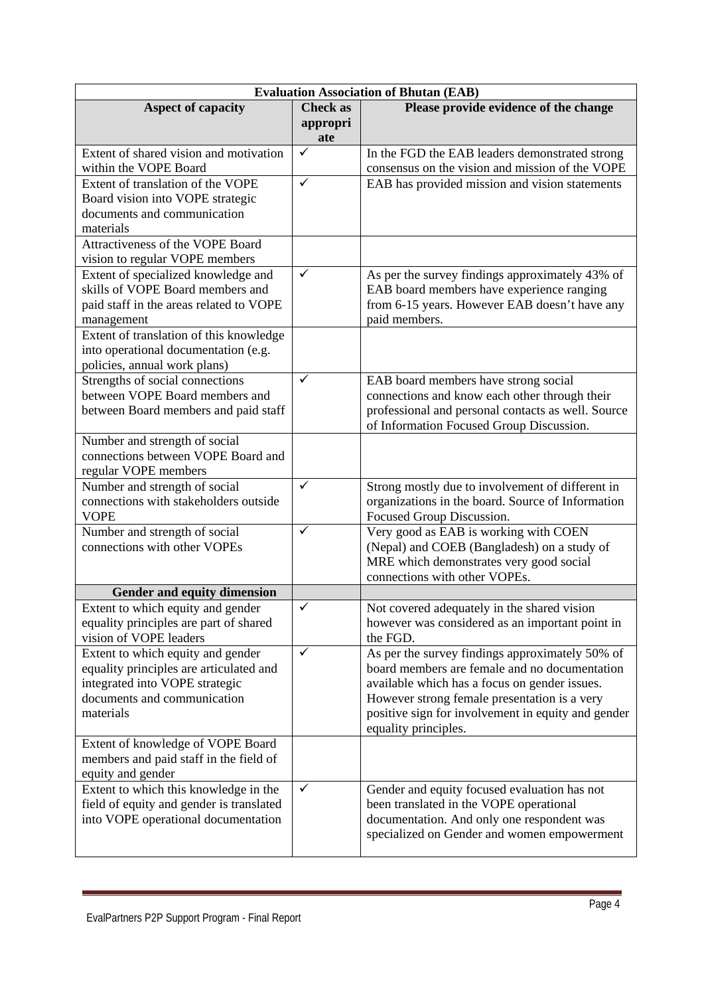| <b>Evaluation Association of Bhutan (EAB)</b>                             |                 |                                                                                                  |  |
|---------------------------------------------------------------------------|-----------------|--------------------------------------------------------------------------------------------------|--|
| <b>Aspect of capacity</b>                                                 | <b>Check as</b> | Please provide evidence of the change                                                            |  |
|                                                                           | appropri        |                                                                                                  |  |
|                                                                           | ate             |                                                                                                  |  |
| Extent of shared vision and motivation                                    | $\checkmark$    | In the FGD the EAB leaders demonstrated strong                                                   |  |
| within the VOPE Board                                                     |                 | consensus on the vision and mission of the VOPE                                                  |  |
| Extent of translation of the VOPE                                         | $\checkmark$    | EAB has provided mission and vision statements                                                   |  |
| Board vision into VOPE strategic                                          |                 |                                                                                                  |  |
| documents and communication                                               |                 |                                                                                                  |  |
| materials                                                                 |                 |                                                                                                  |  |
| Attractiveness of the VOPE Board                                          |                 |                                                                                                  |  |
| vision to regular VOPE members                                            | $\checkmark$    |                                                                                                  |  |
| Extent of specialized knowledge and<br>skills of VOPE Board members and   |                 | As per the survey findings approximately 43% of                                                  |  |
|                                                                           |                 | EAB board members have experience ranging                                                        |  |
| paid staff in the areas related to VOPE<br>management                     |                 | from 6-15 years. However EAB doesn't have any<br>paid members.                                   |  |
| Extent of translation of this knowledge                                   |                 |                                                                                                  |  |
| into operational documentation (e.g.                                      |                 |                                                                                                  |  |
| policies, annual work plans)                                              |                 |                                                                                                  |  |
| Strengths of social connections                                           | $\checkmark$    | EAB board members have strong social                                                             |  |
| between VOPE Board members and                                            |                 | connections and know each other through their                                                    |  |
| between Board members and paid staff                                      |                 | professional and personal contacts as well. Source                                               |  |
|                                                                           |                 | of Information Focused Group Discussion.                                                         |  |
| Number and strength of social                                             |                 |                                                                                                  |  |
| connections between VOPE Board and                                        |                 |                                                                                                  |  |
| regular VOPE members                                                      |                 |                                                                                                  |  |
| Number and strength of social                                             | $\checkmark$    | Strong mostly due to involvement of different in                                                 |  |
| connections with stakeholders outside                                     |                 | organizations in the board. Source of Information                                                |  |
| <b>VOPE</b>                                                               |                 | Focused Group Discussion.                                                                        |  |
| Number and strength of social                                             | $\checkmark$    | Very good as EAB is working with COEN                                                            |  |
| connections with other VOPEs                                              |                 | (Nepal) and COEB (Bangladesh) on a study of                                                      |  |
|                                                                           |                 | MRE which demonstrates very good social                                                          |  |
|                                                                           |                 | connections with other VOPEs.                                                                    |  |
| Gender and equity dimension                                               |                 |                                                                                                  |  |
| Extent to which equity and gender                                         | $\checkmark$    | Not covered adequately in the shared vision                                                      |  |
| equality principles are part of shared                                    |                 | however was considered as an important point in                                                  |  |
| vision of VOPE leaders                                                    | ✓               | the FGD.                                                                                         |  |
| Extent to which equity and gender                                         |                 | As per the survey findings approximately 50% of<br>board members are female and no documentation |  |
| equality principles are articulated and<br>integrated into VOPE strategic |                 | available which has a focus on gender issues.                                                    |  |
| documents and communication                                               |                 | However strong female presentation is a very                                                     |  |
| materials                                                                 |                 | positive sign for involvement in equity and gender                                               |  |
|                                                                           |                 | equality principles.                                                                             |  |
| Extent of knowledge of VOPE Board                                         |                 |                                                                                                  |  |
| members and paid staff in the field of                                    |                 |                                                                                                  |  |
| equity and gender                                                         |                 |                                                                                                  |  |
| Extent to which this knowledge in the                                     | ✓               | Gender and equity focused evaluation has not                                                     |  |
| field of equity and gender is translated                                  |                 | been translated in the VOPE operational                                                          |  |
| into VOPE operational documentation                                       |                 | documentation. And only one respondent was                                                       |  |
|                                                                           |                 | specialized on Gender and women empowerment                                                      |  |
|                                                                           |                 |                                                                                                  |  |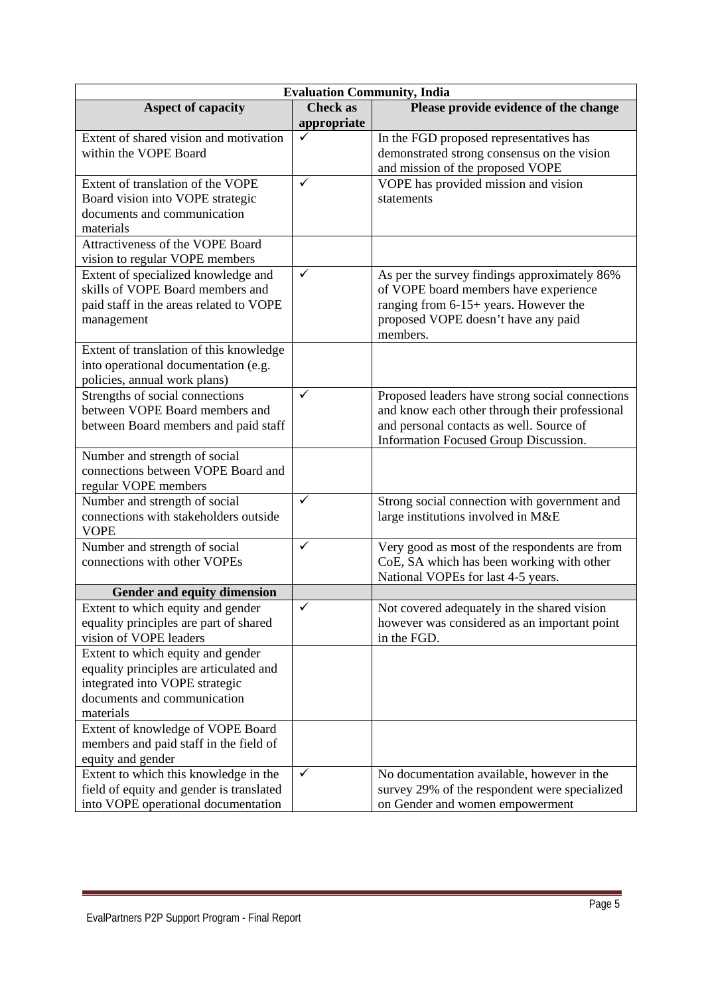| <b>Evaluation Community, India</b>                                                                                                                         |                                |                                                                                                                                                                                        |  |
|------------------------------------------------------------------------------------------------------------------------------------------------------------|--------------------------------|----------------------------------------------------------------------------------------------------------------------------------------------------------------------------------------|--|
| <b>Aspect of capacity</b>                                                                                                                                  | <b>Check as</b><br>appropriate | Please provide evidence of the change                                                                                                                                                  |  |
| Extent of shared vision and motivation<br>within the VOPE Board                                                                                            |                                | In the FGD proposed representatives has<br>demonstrated strong consensus on the vision<br>and mission of the proposed VOPE                                                             |  |
| Extent of translation of the VOPE<br>Board vision into VOPE strategic<br>documents and communication<br>materials                                          | ✓                              | VOPE has provided mission and vision<br>statements                                                                                                                                     |  |
| Attractiveness of the VOPE Board<br>vision to regular VOPE members                                                                                         |                                |                                                                                                                                                                                        |  |
| Extent of specialized knowledge and<br>skills of VOPE Board members and<br>paid staff in the areas related to VOPE<br>management                           | $\checkmark$                   | As per the survey findings approximately 86%<br>of VOPE board members have experience<br>ranging from 6-15+ years. However the<br>proposed VOPE doesn't have any paid<br>members.      |  |
| Extent of translation of this knowledge<br>into operational documentation (e.g.<br>policies, annual work plans)                                            |                                |                                                                                                                                                                                        |  |
| Strengths of social connections<br>between VOPE Board members and<br>between Board members and paid staff                                                  | $\checkmark$                   | Proposed leaders have strong social connections<br>and know each other through their professional<br>and personal contacts as well. Source of<br>Information Focused Group Discussion. |  |
| Number and strength of social<br>connections between VOPE Board and<br>regular VOPE members                                                                |                                |                                                                                                                                                                                        |  |
| Number and strength of social<br>connections with stakeholders outside<br><b>VOPE</b>                                                                      | $\checkmark$                   | Strong social connection with government and<br>large institutions involved in M&E                                                                                                     |  |
| Number and strength of social<br>connections with other VOPEs                                                                                              | $\checkmark$                   | Very good as most of the respondents are from<br>CoE, SA which has been working with other<br>National VOPEs for last 4-5 years.                                                       |  |
| Gender and equity dimension                                                                                                                                |                                |                                                                                                                                                                                        |  |
| Extent to which equity and gender<br>equality principles are part of shared<br>vision of VOPE leaders                                                      | $\checkmark$                   | Not covered adequately in the shared vision<br>however was considered as an important point<br>in the FGD.                                                                             |  |
| Extent to which equity and gender<br>equality principles are articulated and<br>integrated into VOPE strategic<br>documents and communication<br>materials |                                |                                                                                                                                                                                        |  |
| Extent of knowledge of VOPE Board<br>members and paid staff in the field of<br>equity and gender                                                           |                                |                                                                                                                                                                                        |  |
| Extent to which this knowledge in the<br>field of equity and gender is translated<br>into VOPE operational documentation                                   | ✓                              | No documentation available, however in the<br>survey 29% of the respondent were specialized<br>on Gender and women empowerment                                                         |  |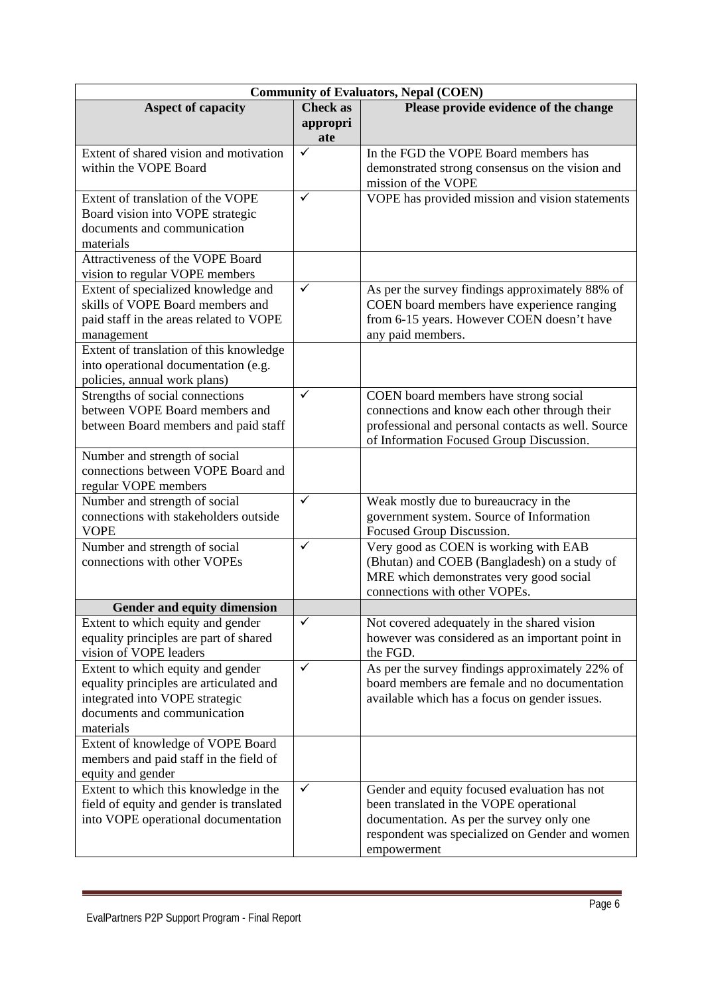| <b>Community of Evaluators, Nepal (COEN)</b>                        |                 |                                                    |  |
|---------------------------------------------------------------------|-----------------|----------------------------------------------------|--|
| <b>Aspect of capacity</b>                                           | <b>Check</b> as | Please provide evidence of the change              |  |
|                                                                     | appropri        |                                                    |  |
|                                                                     | ate             |                                                    |  |
| Extent of shared vision and motivation                              | $\checkmark$    | In the FGD the VOPE Board members has              |  |
| within the VOPE Board                                               |                 | demonstrated strong consensus on the vision and    |  |
|                                                                     |                 | mission of the VOPE                                |  |
| Extent of translation of the VOPE                                   | $\checkmark$    | VOPE has provided mission and vision statements    |  |
| Board vision into VOPE strategic                                    |                 |                                                    |  |
| documents and communication                                         |                 |                                                    |  |
| materials                                                           |                 |                                                    |  |
| Attractiveness of the VOPE Board                                    |                 |                                                    |  |
| vision to regular VOPE members                                      |                 |                                                    |  |
| Extent of specialized knowledge and                                 | $\checkmark$    | As per the survey findings approximately 88% of    |  |
| skills of VOPE Board members and                                    |                 | COEN board members have experience ranging         |  |
| paid staff in the areas related to VOPE                             |                 | from 6-15 years. However COEN doesn't have         |  |
| management                                                          |                 | any paid members.                                  |  |
| Extent of translation of this knowledge                             |                 |                                                    |  |
| into operational documentation (e.g.                                |                 |                                                    |  |
| policies, annual work plans)                                        |                 |                                                    |  |
| Strengths of social connections                                     | $\checkmark$    | COEN board members have strong social              |  |
| between VOPE Board members and                                      |                 | connections and know each other through their      |  |
| between Board members and paid staff                                |                 | professional and personal contacts as well. Source |  |
|                                                                     |                 | of Information Focused Group Discussion.           |  |
| Number and strength of social<br>connections between VOPE Board and |                 |                                                    |  |
|                                                                     |                 |                                                    |  |
| regular VOPE members<br>Number and strength of social               | $\checkmark$    | Weak mostly due to bureaucracy in the              |  |
| connections with stakeholders outside                               |                 | government system. Source of Information           |  |
| <b>VOPE</b>                                                         |                 | Focused Group Discussion.                          |  |
| Number and strength of social                                       | $\checkmark$    | Very good as COEN is working with EAB              |  |
| connections with other VOPEs                                        |                 | (Bhutan) and COEB (Bangladesh) on a study of       |  |
|                                                                     |                 | MRE which demonstrates very good social            |  |
|                                                                     |                 | connections with other VOPEs.                      |  |
| <b>Gender and equity dimension</b>                                  |                 |                                                    |  |
| Extent to which equity and gender                                   | $\checkmark$    | Not covered adequately in the shared vision        |  |
| equality principles are part of shared                              |                 | however was considered as an important point in    |  |
| vision of VOPE leaders                                              |                 | the FGD.                                           |  |
| Extent to which equity and gender                                   | ✓               | As per the survey findings approximately 22% of    |  |
| equality principles are articulated and                             |                 | board members are female and no documentation      |  |
| integrated into VOPE strategic                                      |                 | available which has a focus on gender issues.      |  |
| documents and communication                                         |                 |                                                    |  |
| materials                                                           |                 |                                                    |  |
| Extent of knowledge of VOPE Board                                   |                 |                                                    |  |
| members and paid staff in the field of                              |                 |                                                    |  |
| equity and gender                                                   |                 |                                                    |  |
| Extent to which this knowledge in the                               | $\checkmark$    | Gender and equity focused evaluation has not       |  |
| field of equity and gender is translated                            |                 | been translated in the VOPE operational            |  |
| into VOPE operational documentation                                 |                 | documentation. As per the survey only one          |  |
|                                                                     |                 | respondent was specialized on Gender and women     |  |
|                                                                     |                 | empowerment                                        |  |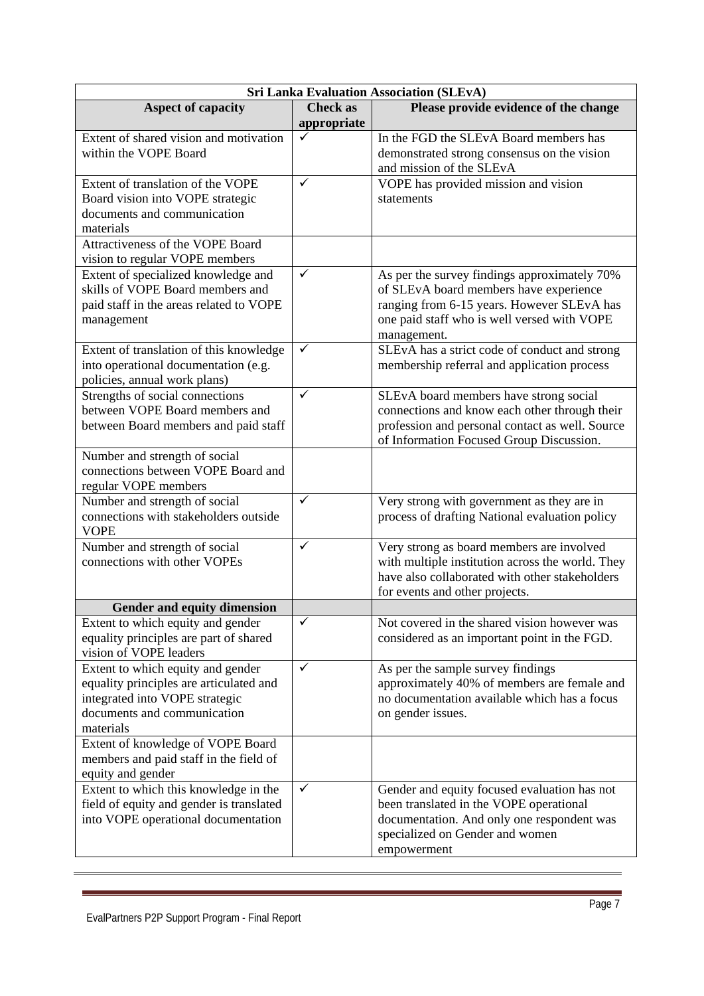| <b>Sri Lanka Evaluation Association (SLEvA)</b>                                                                                                            |                                |                                                                                                                                                                                                    |  |
|------------------------------------------------------------------------------------------------------------------------------------------------------------|--------------------------------|----------------------------------------------------------------------------------------------------------------------------------------------------------------------------------------------------|--|
| <b>Aspect of capacity</b>                                                                                                                                  | <b>Check as</b><br>appropriate | Please provide evidence of the change                                                                                                                                                              |  |
| Extent of shared vision and motivation<br>within the VOPE Board                                                                                            |                                | In the FGD the SLEvA Board members has<br>demonstrated strong consensus on the vision<br>and mission of the SLEvA                                                                                  |  |
| Extent of translation of the VOPE<br>Board vision into VOPE strategic<br>documents and communication<br>materials                                          | $\checkmark$                   | VOPE has provided mission and vision<br>statements                                                                                                                                                 |  |
| Attractiveness of the VOPE Board<br>vision to regular VOPE members                                                                                         |                                |                                                                                                                                                                                                    |  |
| Extent of specialized knowledge and<br>skills of VOPE Board members and<br>paid staff in the areas related to VOPE<br>management                           | $\checkmark$                   | As per the survey findings approximately 70%<br>of SLEvA board members have experience<br>ranging from 6-15 years. However SLEvA has<br>one paid staff who is well versed with VOPE<br>management. |  |
| Extent of translation of this knowledge<br>into operational documentation (e.g.<br>policies, annual work plans)                                            | $\checkmark$                   | SLEvA has a strict code of conduct and strong<br>membership referral and application process                                                                                                       |  |
| Strengths of social connections<br>between VOPE Board members and<br>between Board members and paid staff                                                  | $\checkmark$                   | SLEvA board members have strong social<br>connections and know each other through their<br>profession and personal contact as well. Source<br>of Information Focused Group Discussion.             |  |
| Number and strength of social<br>connections between VOPE Board and<br>regular VOPE members                                                                |                                |                                                                                                                                                                                                    |  |
| Number and strength of social<br>connections with stakeholders outside<br><b>VOPE</b>                                                                      | $\checkmark$                   | Very strong with government as they are in<br>process of drafting National evaluation policy                                                                                                       |  |
| Number and strength of social<br>connections with other VOPEs                                                                                              | ✓                              | Very strong as board members are involved<br>with multiple institution across the world. They<br>have also collaborated with other stakeholders<br>for events and other projects.                  |  |
| <b>Gender and equity dimension</b>                                                                                                                         |                                |                                                                                                                                                                                                    |  |
| Extent to which equity and gender<br>equality principles are part of shared<br>vision of VOPE leaders                                                      | ✓                              | Not covered in the shared vision however was<br>considered as an important point in the FGD.                                                                                                       |  |
| Extent to which equity and gender<br>equality principles are articulated and<br>integrated into VOPE strategic<br>documents and communication<br>materials | $\checkmark$                   | As per the sample survey findings<br>approximately 40% of members are female and<br>no documentation available which has a focus<br>on gender issues.                                              |  |
| Extent of knowledge of VOPE Board<br>members and paid staff in the field of<br>equity and gender                                                           |                                |                                                                                                                                                                                                    |  |
| Extent to which this knowledge in the<br>field of equity and gender is translated<br>into VOPE operational documentation                                   | $\checkmark$                   | Gender and equity focused evaluation has not<br>been translated in the VOPE operational<br>documentation. And only one respondent was<br>specialized on Gender and women<br>empowerment            |  |